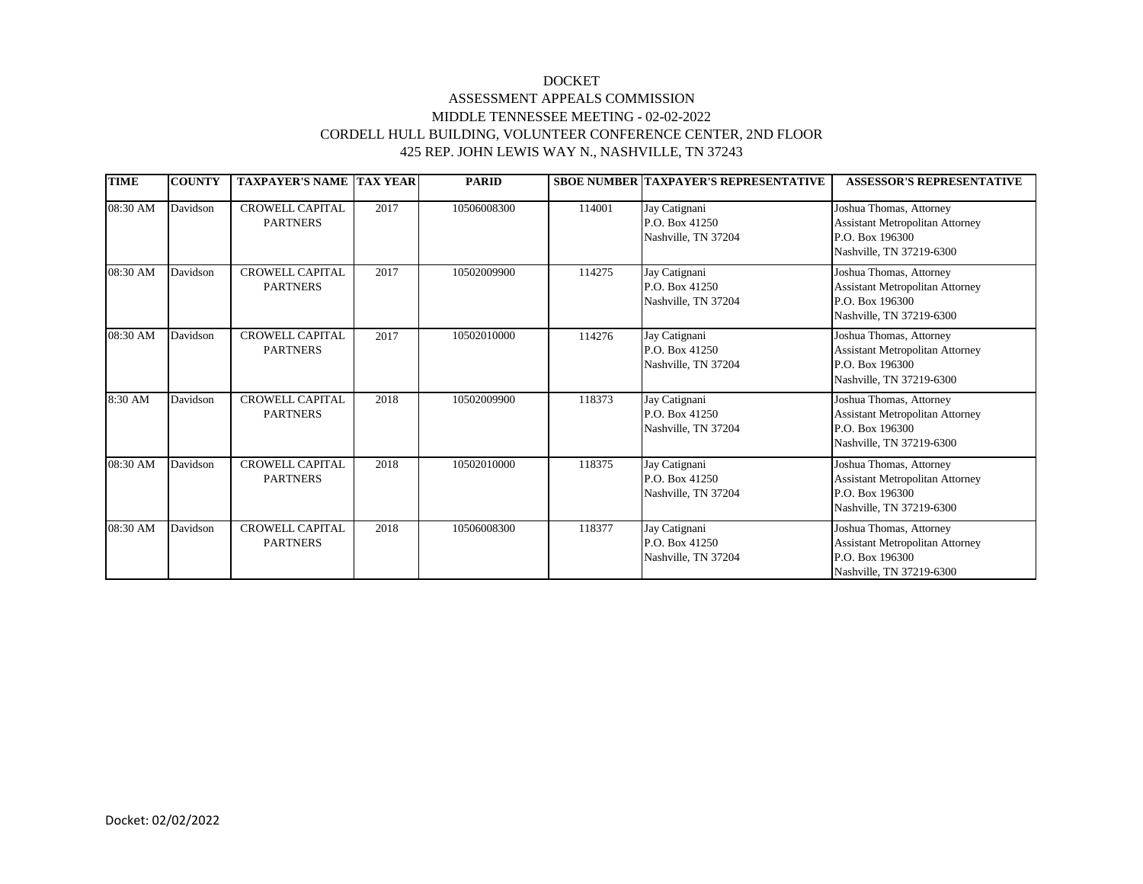## DOCKET ASSESSMENT APPEALS COMMISSION MIDDLE TENNESSEE MEETING - 02-02-2022 CORDELL HULL BUILDING, VOLUNTEER CONFERENCE CENTER, 2ND FLOOR 425 REP. JOHN LEWIS WAY N., NASHVILLE, TN 37243

| <b>TIME</b> | <b>COUNTY</b> | <b>TAXPAYER'S NAME TAX YEAR</b>           |      | <b>PARID</b> |        | <b>SBOE NUMBER TAXPAYER'S REPRESENTATIVE</b>           | <b>ASSESSOR'S REPRESENTATIVE</b>                                                                                 |
|-------------|---------------|-------------------------------------------|------|--------------|--------|--------------------------------------------------------|------------------------------------------------------------------------------------------------------------------|
| 08:30 AM    | Davidson      | <b>CROWELL CAPITAL</b><br><b>PARTNERS</b> | 2017 | 10506008300  | 114001 | Jay Catignani<br>P.O. Box 41250<br>Nashville, TN 37204 | Joshua Thomas, Attorney<br><b>Assistant Metropolitan Attorney</b><br>P.O. Box 196300<br>Nashville, TN 37219-6300 |
| 08:30 AM    | Davidson      | <b>CROWELL CAPITAL</b><br><b>PARTNERS</b> | 2017 | 10502009900  | 114275 | Jay Catignani<br>P.O. Box 41250<br>Nashville, TN 37204 | Joshua Thomas, Attorney<br><b>Assistant Metropolitan Attorney</b><br>P.O. Box 196300<br>Nashville, TN 37219-6300 |
| 08:30 AM    | Davidson      | <b>CROWELL CAPITAL</b><br><b>PARTNERS</b> | 2017 | 10502010000  | 114276 | Jay Catignani<br>P.O. Box 41250<br>Nashville, TN 37204 | Joshua Thomas, Attorney<br><b>Assistant Metropolitan Attorney</b><br>P.O. Box 196300<br>Nashville, TN 37219-6300 |
| 8:30 AM     | Davidson      | <b>CROWELL CAPITAL</b><br><b>PARTNERS</b> | 2018 | 10502009900  | 118373 | Jay Catignani<br>P.O. Box 41250<br>Nashville, TN 37204 | Joshua Thomas, Attorney<br><b>Assistant Metropolitan Attorney</b><br>P.O. Box 196300<br>Nashville, TN 37219-6300 |
| 08:30 AM    | Davidson      | CROWELL CAPITAL<br><b>PARTNERS</b>        | 2018 | 10502010000  | 118375 | Jay Catignani<br>P.O. Box 41250<br>Nashville, TN 37204 | Joshua Thomas, Attorney<br><b>Assistant Metropolitan Attorney</b><br>P.O. Box 196300<br>Nashville, TN 37219-6300 |
| 08:30 AM    | Davidson      | <b>CROWELL CAPITAL</b><br><b>PARTNERS</b> | 2018 | 10506008300  | 118377 | Jay Catignani<br>P.O. Box 41250<br>Nashville, TN 37204 | Joshua Thomas, Attorney<br><b>Assistant Metropolitan Attorney</b><br>P.O. Box 196300<br>Nashville, TN 37219-6300 |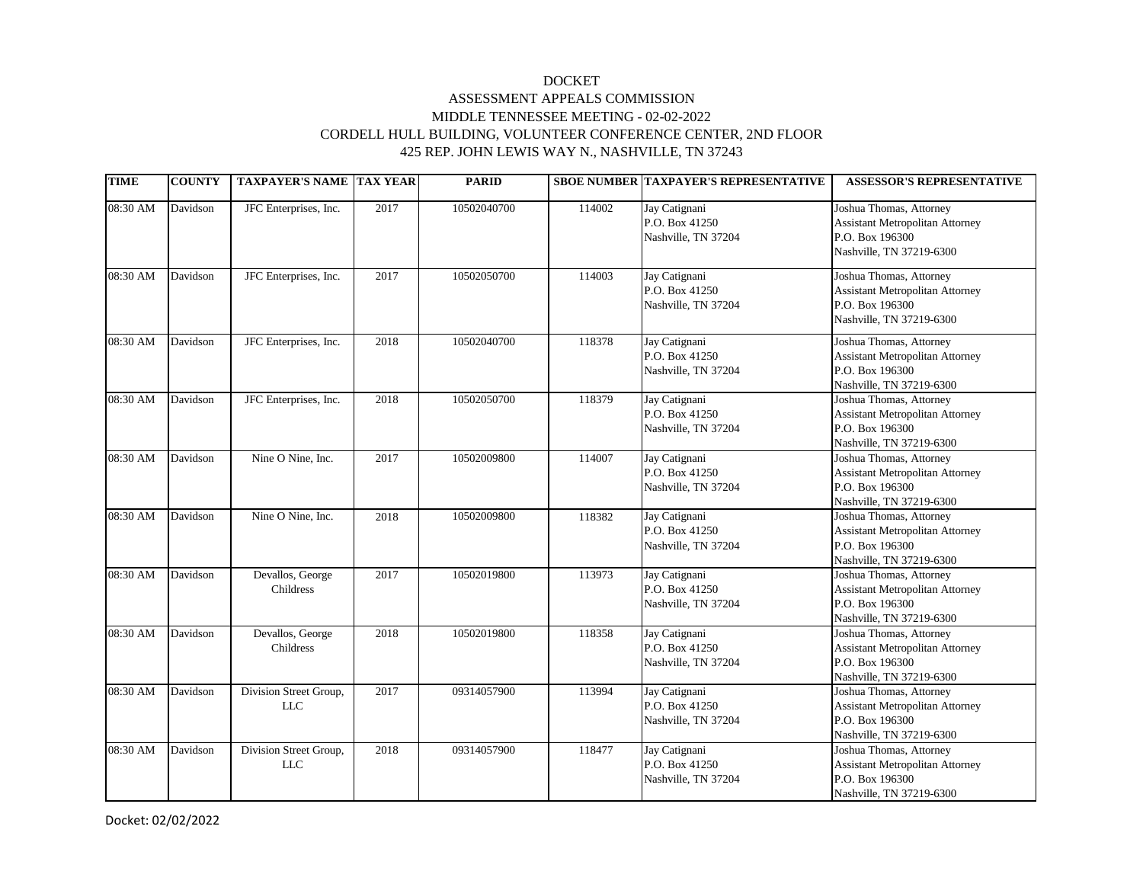## DOCKET ASSESSMENT APPEALS COMMISSION MIDDLE TENNESSEE MEETING - 02-02-2022 CORDELL HULL BUILDING, VOLUNTEER CONFERENCE CENTER, 2ND FLOOR 425 REP. JOHN LEWIS WAY N., NASHVILLE, TN 37243

| <b>TIME</b> | <b>COUNTY</b> | <b>TAXPAYER'S NAME TAX YEAR</b>      |      | <b>PARID</b> |        | <b>SBOE NUMBER TAXPAYER'S REPRESENTATIVE</b>           | <b>ASSESSOR'S REPRESENTATIVE</b>                                                                                 |
|-------------|---------------|--------------------------------------|------|--------------|--------|--------------------------------------------------------|------------------------------------------------------------------------------------------------------------------|
| 08:30 AM    | Davidson      | JFC Enterprises, Inc.                | 2017 | 10502040700  | 114002 | Jay Catignani<br>P.O. Box 41250<br>Nashville, TN 37204 | Joshua Thomas, Attorney<br><b>Assistant Metropolitan Attorney</b><br>P.O. Box 196300<br>Nashville, TN 37219-6300 |
| 08:30 AM    | Davidson      | JFC Enterprises, Inc.                | 2017 | 10502050700  | 114003 | Jay Catignani<br>P.O. Box 41250<br>Nashville, TN 37204 | Joshua Thomas, Attorney<br><b>Assistant Metropolitan Attorney</b><br>P.O. Box 196300<br>Nashville, TN 37219-6300 |
| 08:30 AM    | Davidson      | JFC Enterprises, Inc.                | 2018 | 10502040700  | 118378 | Jay Catignani<br>P.O. Box 41250<br>Nashville, TN 37204 | Joshua Thomas, Attorney<br><b>Assistant Metropolitan Attorney</b><br>P.O. Box 196300<br>Nashville, TN 37219-6300 |
| 08:30 AM    | Davidson      | JFC Enterprises, Inc.                | 2018 | 10502050700  | 118379 | Jay Catignani<br>P.O. Box 41250<br>Nashville, TN 37204 | Joshua Thomas, Attorney<br><b>Assistant Metropolitan Attorney</b><br>P.O. Box 196300<br>Nashville, TN 37219-6300 |
| 08:30 AM    | Davidson      | Nine O Nine, Inc.                    | 2017 | 10502009800  | 114007 | Jay Catignani<br>P.O. Box 41250<br>Nashville, TN 37204 | Joshua Thomas, Attorney<br><b>Assistant Metropolitan Attorney</b><br>P.O. Box 196300<br>Nashville, TN 37219-6300 |
| 08:30 AM    | Davidson      | Nine O Nine, Inc.                    | 2018 | 10502009800  | 118382 | Jay Catignani<br>P.O. Box 41250<br>Nashville, TN 37204 | Joshua Thomas, Attorney<br><b>Assistant Metropolitan Attorney</b><br>P.O. Box 196300<br>Nashville, TN 37219-6300 |
| 08:30 AM    | Davidson      | Devallos, George<br>Childress        | 2017 | 10502019800  | 113973 | Jay Catignani<br>P.O. Box 41250<br>Nashville, TN 37204 | Joshua Thomas, Attorney<br><b>Assistant Metropolitan Attorney</b><br>P.O. Box 196300<br>Nashville, TN 37219-6300 |
| 08:30 AM    | Davidson      | Devallos, George<br>Childress        | 2018 | 10502019800  | 118358 | Jay Catignani<br>P.O. Box 41250<br>Nashville, TN 37204 | Joshua Thomas, Attorney<br><b>Assistant Metropolitan Attorney</b><br>P.O. Box 196300<br>Nashville, TN 37219-6300 |
| 08:30 AM    | Davidson      | Division Street Group,<br><b>LLC</b> | 2017 | 09314057900  | 113994 | Jay Catignani<br>P.O. Box 41250<br>Nashville, TN 37204 | Joshua Thomas, Attorney<br><b>Assistant Metropolitan Attorney</b><br>P.O. Box 196300<br>Nashville, TN 37219-6300 |
| 08:30 AM    | Davidson      | Division Street Group,<br>LLC        | 2018 | 09314057900  | 118477 | Jay Catignani<br>P.O. Box 41250<br>Nashville, TN 37204 | Joshua Thomas, Attorney<br><b>Assistant Metropolitan Attorney</b><br>P.O. Box 196300<br>Nashville, TN 37219-6300 |